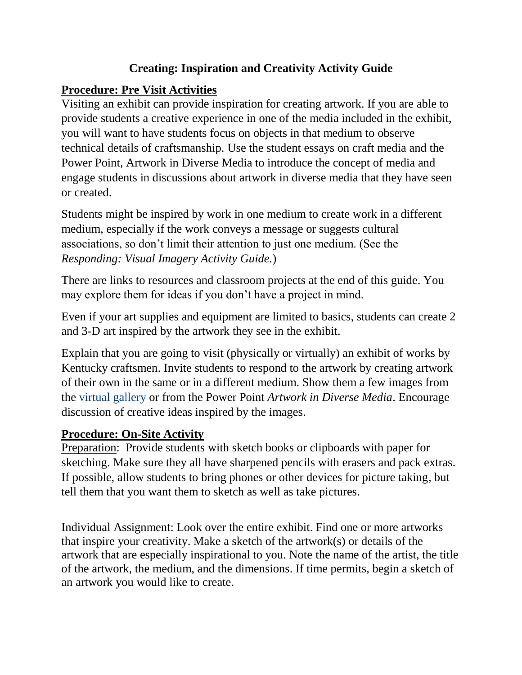#### **Creating: Inspiration and Creativity Activity Guide**

#### **Procedure: Pre Visit Activities**

Visiting an exhibit can provide inspiration for creating artwork. If you are able to provide students a creative experience in one of the media included in the exhibit, you will want to have students focus on objects in that medium to observe technical details of craftsmanship. Use the student essays on craft media and the Power Point, Artwork in Diverse Media to introduce the concept of media and engage students in discussions about artwork in diverse media that they have seen or created.

Students might be inspired by work in one medium to create work in a different medium, especially if the work conveys a message or suggests cultural associations, so don't limit their attention to just one medium. (See the *Responding: Visual Imagery Activity Guide.*)

There are links to resources and classroom projects at the end of this guide. You may explore them for ideas if you don't have a project in mind.

Even if your art supplies and equipment are limited to basics, students can create 2 and 3-D art inspired by the artwork they see in the exhibit.

Explain that you are going to visit (physically or virtually) an exhibit of works by Kentucky craftsmen. Invite students to respond to the artwork by creating artwork of their own in the same or in a different medium. Show them a few images from the [virtual gallery](https://www.kchea.org/exhibitgallery) or from the Power Point *Artwork in Diverse Media*. Encourage discussion of creative ideas inspired by the images.

### **Procedure: On-Site Activity**

Preparation: Provide students with sketch books or clipboards with paper for sketching. Make sure they all have sharpened pencils with erasers and pack extras. If possible, allow students to bring phones or other devices for picture taking, but tell them that you want them to sketch as well as take pictures.

Individual Assignment: Look over the entire exhibit. Find one or more artworks that inspire your creativity. Make a sketch of the artwork(s) or details of the artwork that are especially inspirational to you. Note the name of the artist, the title of the artwork, the medium, and the dimensions. If time permits, begin a sketch of an artwork you would like to create.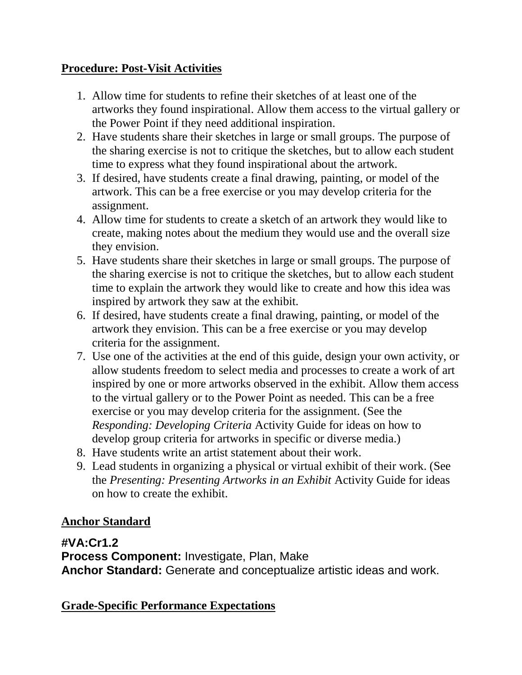#### **Procedure: Post-Visit Activities**

- 1. Allow time for students to refine their sketches of at least one of the artworks they found inspirational. Allow them access to the virtual gallery or the Power Point if they need additional inspiration.
- 2. Have students share their sketches in large or small groups. The purpose of the sharing exercise is not to critique the sketches, but to allow each student time to express what they found inspirational about the artwork.
- 3. If desired, have students create a final drawing, painting, or model of the artwork. This can be a free exercise or you may develop criteria for the assignment.
- 4. Allow time for students to create a sketch of an artwork they would like to create, making notes about the medium they would use and the overall size they envision.
- 5. Have students share their sketches in large or small groups. The purpose of the sharing exercise is not to critique the sketches, but to allow each student time to explain the artwork they would like to create and how this idea was inspired by artwork they saw at the exhibit.
- 6. If desired, have students create a final drawing, painting, or model of the artwork they envision. This can be a free exercise or you may develop criteria for the assignment.
- 7. Use one of the activities at the end of this guide, design your own activity, or allow students freedom to select media and processes to create a work of art inspired by one or more artworks observed in the exhibit. Allow them access to the virtual gallery or to the Power Point as needed. This can be a free exercise or you may develop criteria for the assignment. (See the *Responding: Developing Criteria* Activity Guide for ideas on how to develop group criteria for artworks in specific or diverse media.)
- 8. Have students write an artist statement about their work.
- 9. Lead students in organizing a physical or virtual exhibit of their work. (See the *Presenting: Presenting Artworks in an Exhibit* Activity Guide for ideas on how to create the exhibit.

### **Anchor Standard**

### **#VA:Cr1.2**

**Process Component:** Investigate, Plan, Make **Anchor Standard:** Generate and conceptualize artistic ideas and work.

### **Grade-Specific Performance Expectations**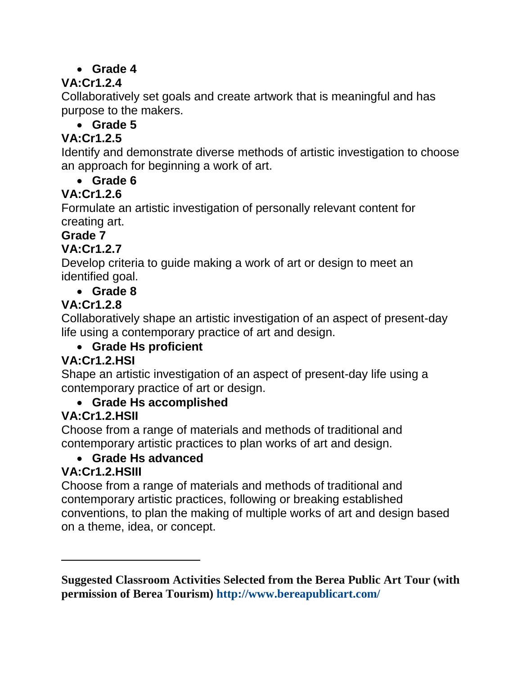## **Grade 4**

# **VA:Cr1.2.4**

Collaboratively set goals and create artwork that is meaningful and has purpose to the makers.

## **Grade 5**

## **VA:Cr1.2.5**

Identify and demonstrate diverse methods of artistic investigation to choose an approach for beginning a work of art.

### **Grade 6**

## **VA:Cr1.2.6**

Formulate an artistic investigation of personally relevant content for creating art.

## **Grade 7**

## **VA:Cr1.2.7**

Develop criteria to guide making a work of art or design to meet an identified goal.

**Grade 8**

## **VA:Cr1.2.8**

Collaboratively shape an artistic investigation of an aspect of present-day life using a contemporary practice of art and design.

### **Grade Hs proficient**

## **VA:Cr1.2.HSI**

Shape an artistic investigation of an aspect of present-day life using a contemporary practice of art or design.

### **Grade Hs accomplished**

## **VA:Cr1.2.HSII**

Choose from a range of materials and methods of traditional and contemporary artistic practices to plan works of art and design.

### **Grade Hs advanced**

### **VA:Cr1.2.HSIII**

Choose from a range of materials and methods of traditional and contemporary artistic practices, following or breaking established conventions, to plan the making of multiple works of art and design based on a theme, idea, or concept.

**Suggested Classroom Activities Selected from the Berea Public Art Tour (with permission of Berea Tourism)<http://www.bereapublicart.com/>**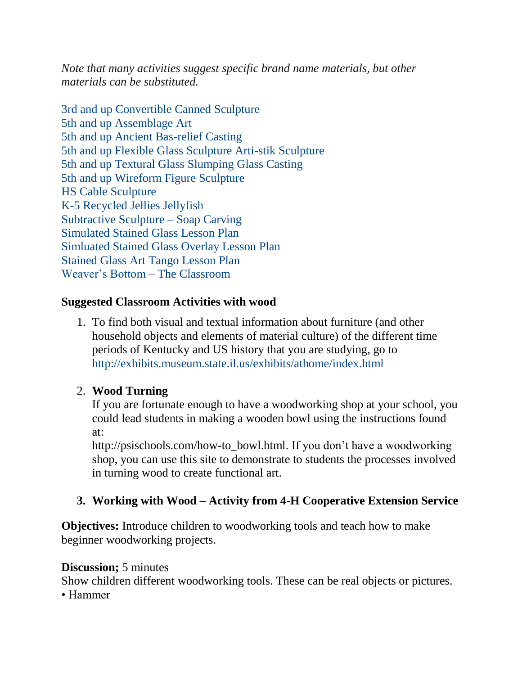*Note that many activities suggest specific brand name materials, but other materials can be substituted.* 

[3rd and up Convertible Canned Sculpture](http://www.bereapublicart.com/wp-content/uploads/2015/06/3rd-and-up-convertible-canned-sculpture.pdf) [5th and up Assemblage Art](http://www.bereapublicart.com/wp-content/uploads/2015/06/5th-and-up-assemblage-art.pdf) [5th and up Ancient Bas-relief Casting](http://www.bereapublicart.com/wp-content/uploads/2015/06/5th-and-up-ancient-bas-relief-casting.pdf) [5th and up Flexible Glass Sculpture Arti-stik Sculpture](http://www.bereapublicart.com/wp-content/uploads/2015/06/5th-and-up-flexible-glass-sculpture-arti-stik-sculpture.pdf) [5th and up Textural Glass Slumping Glass Casting](http://www.bereapublicart.com/wp-content/uploads/2015/06/5th-and-up-textural-glass-slumping-glass-casting.pdf) [5th and up Wireform Figure Sculpture](http://www.bereapublicart.com/wp-content/uploads/2015/06/5th-and-up-wireform-figure-sculpture.pdf) [HS Cable Sculpture](http://www.bereapublicart.com/wp-content/uploads/2015/06/HS-cable-sculpture.pdf) [K-5 Recycled Jellies Jellyfish](http://www.bereapublicart.com/wp-content/uploads/2015/06/K-5-recycled-jellies-jellyfish.pdf) [Subtractive Sculpture –](http://www.bereapublicart.com/wp-content/uploads/2015/06/Subtractive-Sculpture-Soap-Carving.pdf) Soap Carving [Simulated Stained Glass Lesson Plan](http://www.bereapublicart.com/wp-content/uploads/2015/06/Simluated-Stained-Glass-Lesson-Plan.pdf) [Simluated Stained Glass Overlay Lesson Plan](http://www.bereapublicart.com/wp-content/uploads/2015/06/Simluated-Stained-Glass-Overlay-Lesson-Plan.pdf) [Stained Glass Art Tango Lesson Plan](http://www.bereapublicart.com/wp-content/uploads/2015/06/Stained-Glass-Art-Tango-Lesson-Plan.pdf) [Weaver's Bottom –](http://www.bereapublicart.com/wp-content/uploads/2015/06/Weavers-Bottom-Suggested-Classroom-Activities.pdf) The Classroom

#### **Suggested Classroom Activities with wood**

1. To find both visual and textual information about furniture (and other household objects and elements of material culture) of the different time periods of Kentucky and US history that you are studying, go to <http://exhibits.museum.state.il.us/exhibits/athome/index.html>

### 2. **Wood Turning**

If you are fortunate enough to have a woodworking shop at your school, you could lead students in making a wooden bowl using the instructions found at:

[http://psischools.com/how-to\\_bowl.html.](http://psischools.com/how-to_bowl.html) If you don't have a woodworking shop, you can use this site to demonstrate to students the processes involved in turning wood to create functional art.

### **3. Working with Wood – Activity from 4-H Cooperative Extension Service**

**Objectives:** Introduce children to woodworking tools and teach how to make beginner woodworking projects.

#### **Discussion;** 5 minutes

Show children different woodworking tools. These can be real objects or pictures.

• Hammer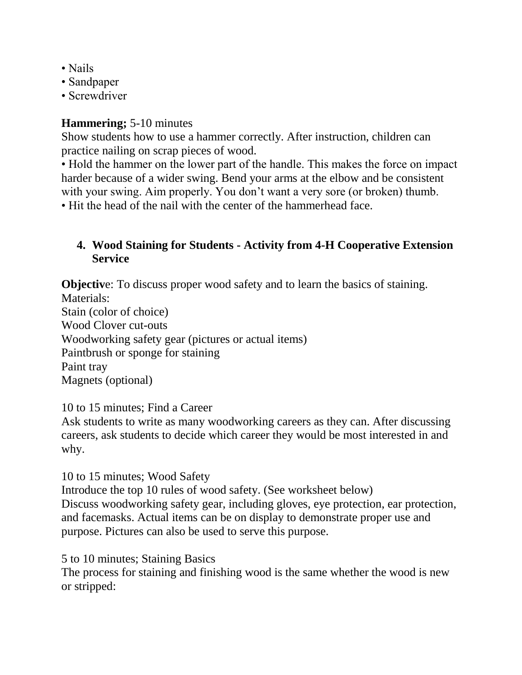- Nails
- Sandpaper
- Screwdriver

#### **Hammering;** 5-10 minutes

Show students how to use a hammer correctly. After instruction, children can practice nailing on scrap pieces of wood.

• Hold the hammer on the lower part of the handle. This makes the force on impact harder because of a wider swing. Bend your arms at the elbow and be consistent with your swing. Aim properly. You don't want a very sore (or broken) thumb.

• Hit the head of the nail with the center of the hammerhead face.

### **4. Wood Staining for Students - Activity from 4-H Cooperative Extension Service**

**Objective:** To discuss proper wood safety and to learn the basics of staining. Materials: Stain (color of choice) Wood Clover cut-outs Woodworking safety gear (pictures or actual items) Paintbrush or sponge for staining Paint tray Magnets (optional)

10 to 15 minutes; Find a Career

Ask students to write as many woodworking careers as they can. After discussing careers, ask students to decide which career they would be most interested in and why.

10 to 15 minutes; Wood Safety

Introduce the top 10 rules of wood safety. (See worksheet below) Discuss woodworking safety gear, including gloves, eye protection, ear protection, and facemasks. Actual items can be on display to demonstrate proper use and purpose. Pictures can also be used to serve this purpose.

5 to 10 minutes; Staining Basics

The process for staining and finishing wood is the same whether the wood is new or stripped: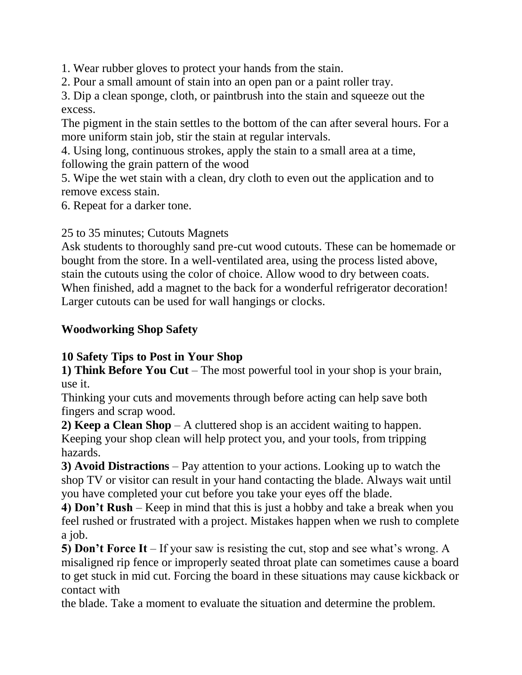1. Wear rubber gloves to protect your hands from the stain.

2. Pour a small amount of stain into an open pan or a paint roller tray.

3. Dip a clean sponge, cloth, or paintbrush into the stain and squeeze out the excess.

The pigment in the stain settles to the bottom of the can after several hours. For a more uniform stain job, stir the stain at regular intervals.

4. Using long, continuous strokes, apply the stain to a small area at a time, following the grain pattern of the wood

5. Wipe the wet stain with a clean, dry cloth to even out the application and to remove excess stain.

6. Repeat for a darker tone.

25 to 35 minutes; Cutouts Magnets

Ask students to thoroughly sand pre-cut wood cutouts. These can be homemade or bought from the store. In a well-ventilated area, using the process listed above, stain the cutouts using the color of choice. Allow wood to dry between coats. When finished, add a magnet to the back for a wonderful refrigerator decoration! Larger cutouts can be used for wall hangings or clocks.

#### **Woodworking Shop Safety**

### **10 Safety Tips to Post in Your Shop**

**1) Think Before You Cut** – The most powerful tool in your shop is your brain, use it.

Thinking your cuts and movements through before acting can help save both fingers and scrap wood.

**2) Keep a Clean Shop** – A cluttered shop is an accident waiting to happen. Keeping your shop clean will help protect you, and your tools, from tripping hazards.

**3) Avoid Distractions** – Pay attention to your actions. Looking up to watch the shop TV or visitor can result in your hand contacting the blade. Always wait until you have completed your cut before you take your eyes off the blade.

**4) Don't Rush** – Keep in mind that this is just a hobby and take a break when you feel rushed or frustrated with a project. Mistakes happen when we rush to complete a job.

**5) Don't Force It** – If your saw is resisting the cut, stop and see what's wrong. A misaligned rip fence or improperly seated throat plate can sometimes cause a board to get stuck in mid cut. Forcing the board in these situations may cause kickback or contact with

the blade. Take a moment to evaluate the situation and determine the problem.